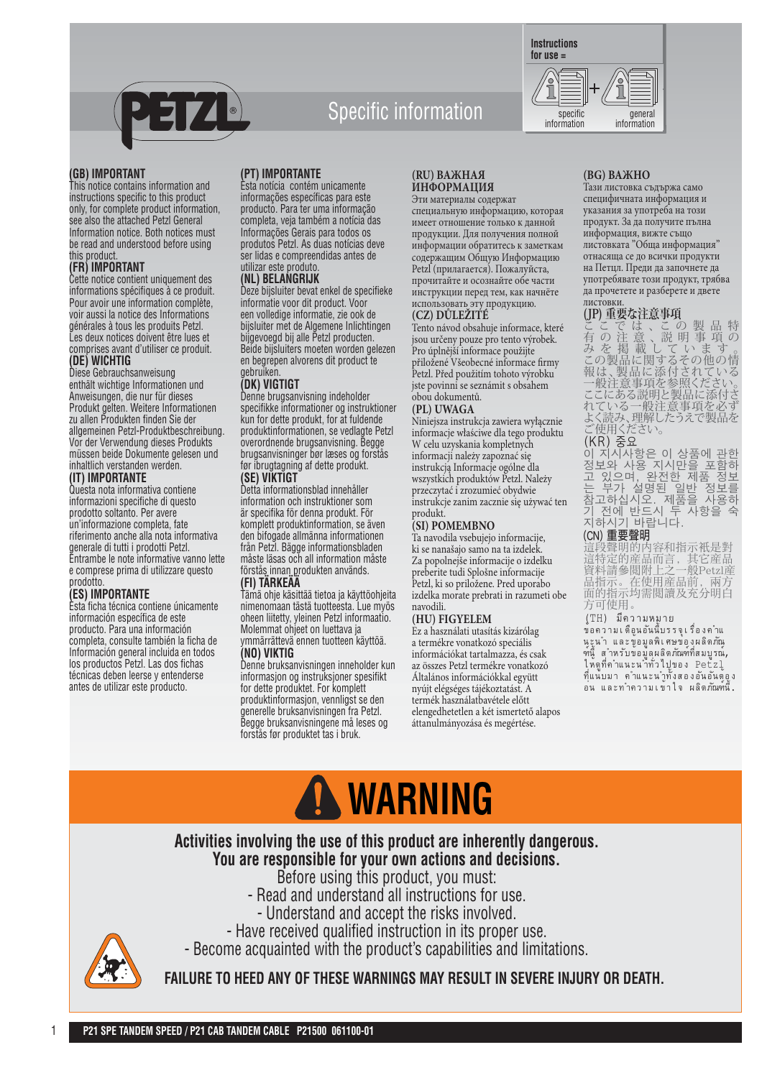

## **for use =**

**ИНФОРМАЦИЯ** Эти материалы содержат специальную информацию, которая имеет отношение только к данной продукции. Для получения полной информации обратитесь к заметкам содержащим Общую Информацию Petzl (прилагается). Пожалуйста, прочитайте и осознайте обе части инструкции перед тем, как начнёте использовать эту продукцию.

#### **(CZ) DŮLEŽITÉ**

Tento návod obsahuje informace, které jsou určeny pouze pro tento výrobek. Pro úplnější informace použijte přiložené Všeobecné informace firmy Petzl. Před použitím tohoto výrobku jste povinni se seznámit s obsahem obou dokumentů.

#### **(PL) UWAGA**

Niniejsza instrukcja zawiera wyłącznie informacje właściwe dla tego produktu W celu uzyskania kompletnych informacji należy zapoznać się instrukcją Informacje ogólne dla wszystkich produktów Petzl. Należy przeczytać i zrozumieć obydwie instrukcje zanim zacznie się używać ten produkt.

#### **(SI) POMEMBNO**

Ta navodila vsebujejo informacije, ki se nanašajo samo na ta izdelek. Za popolnejše informacije o izdelku preberite tudi Splošne informacije Petzl, ki so priložene. Pred uporabo izdelka morate prebrati in razumeti obe navodili.

#### **(HU) FIGYELEM**

Ez a használati utasítás kizárólag a termékre vonatkozó speciális információkat tartalmazza, és csak az összes Petzl termékre vonatkozó Általános információkkal együtt nyújt elégséges tájékoztatást. A termék használatbavétele előtt elengedhetetlen a két ismertető alapos áttanulmányozása és megértése.

## **(BG) ВАЖНО**

Тази листовка съдържа само специфичната информация и указания за употреба на този продукт. За да получите пълна информация, вижте също листовката "Обща информация" отнасяща се до всички продукти на Петцл. Преди да започнете да употребявате този продукт, трябва да прочетете и разберете и двете листовки.

general

#### **(JP) 重要な注意事項**

こ こ で は 、こ の 製 品 特 有 の 注 意 、説 明 事 項 の みを掲載しています。 この製品に関するその他の情 報は、製品に添付されている 一般注意事項を参照ください。 ここにある説明と製品に添付さ れている一般注意事項を必ず よく読み、理解したうえで製品を ご使用ください。 (KR) 숭요 이 지시사항은 이 상품에 관한

정보와 사용 지시만을 포함하 고 있으며, 완전한 제품 정보 는 부가 설명된 일반 정보를 참고하십시오. 제품을 사용하 기 전에 반드시 두 사항을 숙 지하시기 바랍니다.

#### (CN) 重要声明

這段聲明的内容和指示衹是對 這特定的産品而言,其它産品 资料请参阅附上之一般Petzl产 品指示。在使用産品前,兩方 面的指示均需阅读及充分明白 方可使用。

#### (TH) มีความหมาย

ข้อความเตือนอันนี้บรรจุเรื่องคำแ นะูนำ และข้อมูลพิเศษของผลิตภัณ ฑ์นี้ สำหรับขอมูลผลิตภัณฑ์ที่สมบูรณ**์,** ให้ดูที่คำแนะนำทั่วไปของ Petzl ที่แน้บมา คำแนะนำทั้งสองอันอันตฺ้อูง ........<br>อน และทำความเข้าใจ ผลิตภัณฑ์นี้.

#### **(GB) IMPORTANT**

This notice contains information and instructions specific to this product only, for complete product information, see also the attached Petzl General Information notice. Both notices must be read and understood before using this product.

**(PT) IMPORTANTE** Esta notícia contém unicamente informações específicas para este producto. Para ter uma informação completa, veja também a notícia das Informações Gerais para todos os produtos Petzl. As duas notícias deve ser lidas e compreendidas antes de

utilizar este produto. **(NL) BELANGRIJK**

gebruiken. **(DK) VIGTIGT**

**(SE) VIKTIGT**

**(FI) TÄRKEÄÄ**

**(NO) VIKTIG**

Deze bijsluiter bevat enkel de specifieke informatie voor dit product. Voor een volledige informatie, zie ook de bijsluiter met de Algemene Inlichtingen bijgevoegd bij alle Petzl producten. Beide bijsluiters moeten worden gelezen en begrepen alvorens dit product te

Denne brugsanvisning indeholder specifikke informationer og instruktioner kun for dette produkt, for at fuldende produktinformationen, se vedlagte Petzl overordnende brugsanvisning. Begge brugsanvisninger bør læses og forstås før ibrugtagning af dette produkt.

Detta informationsblad innehåller information och instruktioner som är specifika för denna produkt. För komplett produktinformation, se även den bifogade allmänna informationen från Petzl. Bägge informationsbladen måste läsas och all information måste förstås innan produkten används.

Tämä ohje käsittää tietoa ja käyttöohjeita nimenomaan tästä tuotteesta. Lue myös oheen liitetty, yleinen Petzl informaatio. Molemmat ohjeet on luettava ja ymmärrättevä ennen tuotteen käyttöä.

Denne bruksanvisningen inneholder kun informasjon og instruksjoner spesifikt for dette produktet. For komplett produktinformasjon, vennligst se den generelle bruksanvisningen fra Petzl. Begge bruksanvisningene må leses og forstås før produktet tas i bruk.

#### **(FR) IMPORTANT**

Cette notice contient uniquement des informations spécifiques à ce produit. Pour avoir une information complète, voir aussi la notice des Informations générales à tous les produits Petzl. Les deux notices doivent être lues et comprises avant d'utiliser ce produit. **(DE) WICHTIG**

#### Diese Gebrauchsanweisung

enthält wichtige Informationen und Anweisungen, die nur für dieses Produkt gelten. Weitere Informationen zu allen Produkten finden Sie der allgemeinen Petzl-Produktbeschreibung. Vor der Verwendung dieses Produkts müssen beide Dokumente gelesen und inhaltlich verstanden werden.

#### **(IT) IMPORTANTE**

Questa nota informativa contiene informazioni specifiche di questo prodotto soltanto. Per avere un'informazione completa, fate riferimento anche alla nota informativa generale di tutti i prodotti Petzl. Entrambe le note informative vanno lette e comprese prima di utilizzare questo prodotto.

## **(ES) IMPORTANTE**

Esta ficha técnica contiene únicamente información específica de este producto. Para una información completa, consulte también la ficha de Información general incluida en todos los productos Petzl. Las dos fichas técnicas deben leerse y entenderse antes de utilizar este producto.

# **WARNING**

**Activities involving the use of this product are inherently dangerous. You are responsible for your own actions and decisions.**

Before using this product, you must:

- Read and understand all instructions for use.
- Understand and accept the risks involved.
- Have received qualified instruction in its proper use.

- Become acquainted with the product's capabilities and limitations.

 **FAILURE TO HEED ANY OF THESE WARNINGS MAY RESULT IN SEVERE INJURY OR DEATH.**









**Instructions**

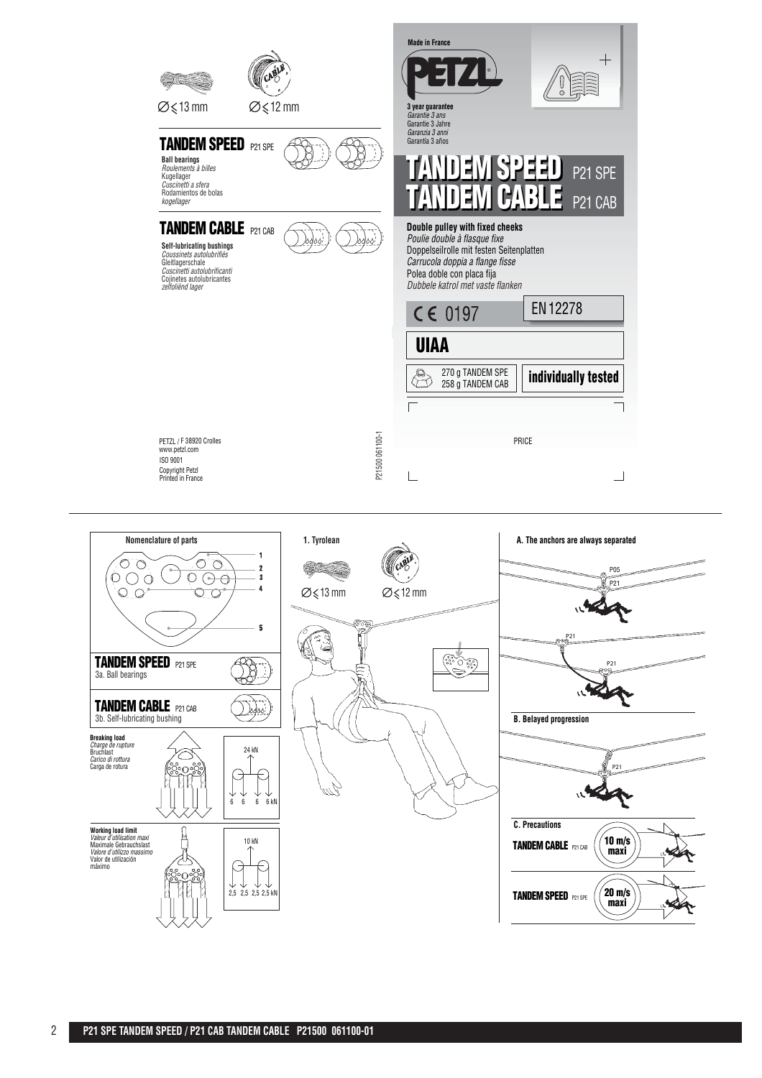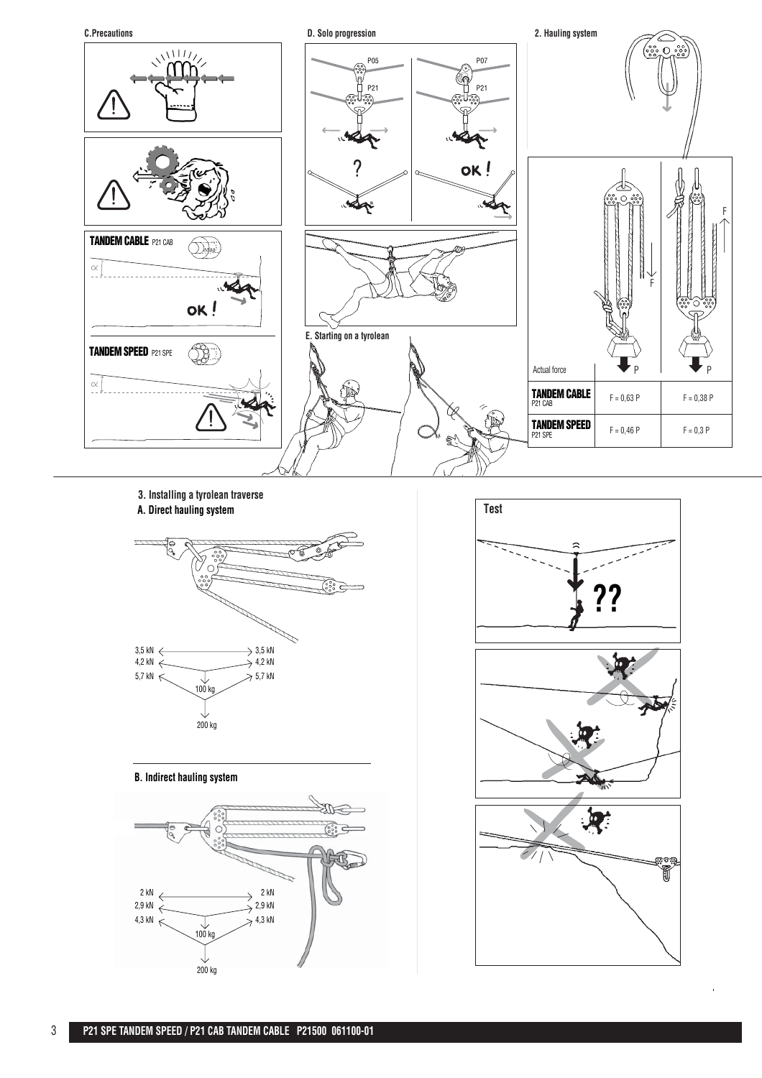

#### **3. Installing a tyrolean traverse A. Direct hauling system**



**B. Indirect hauling system**



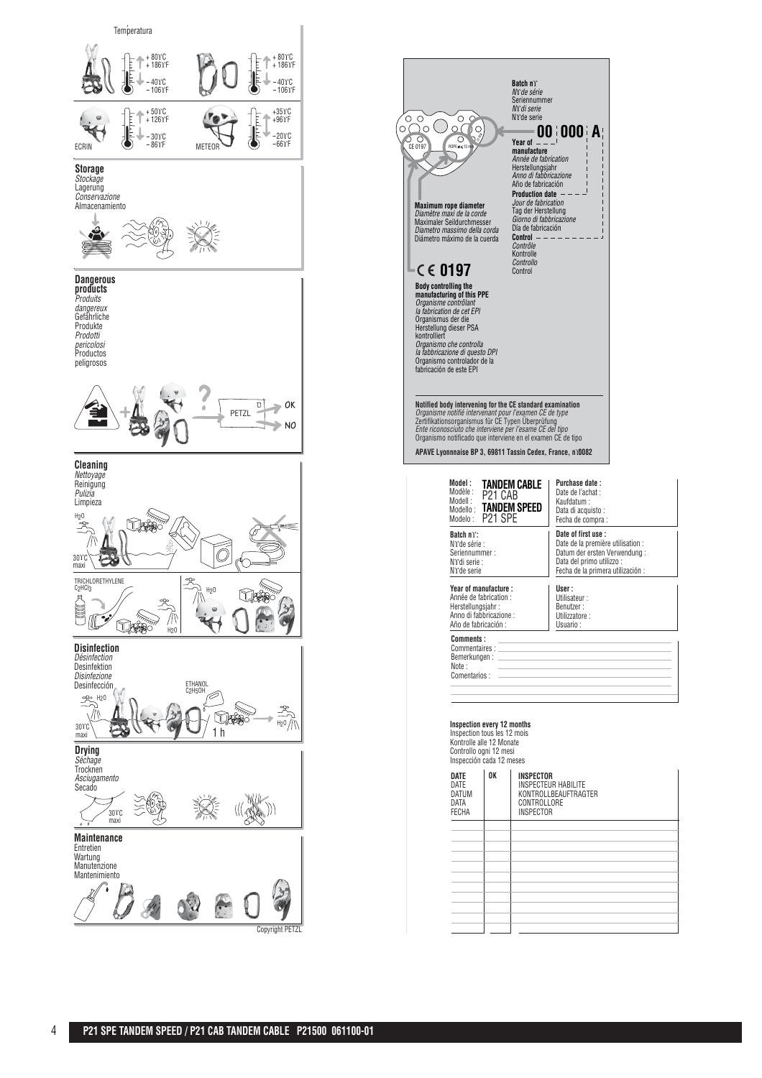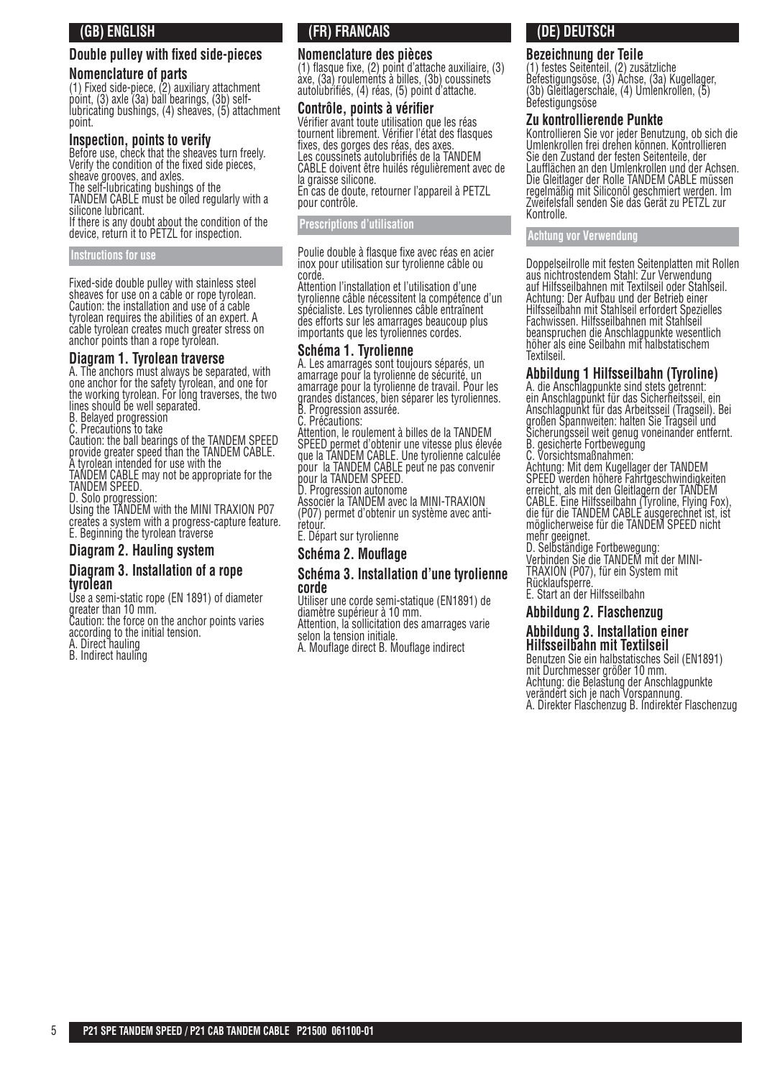## **(GB) ENGLISH**

#### **Double pulley with fixed side-pieces**

#### **Nomenclature of parts**

(1) Fixed side-piece, (2) auxiliary attachment point, (3) axle (3a) ball bearings, (3b) selflubricating bushings, (4) sheaves, (5) attachment point.

#### **Inspection, points to verify**

Before use, check that the sheaves turn freely. Verify the condition of the fixed side pieces. sheave grooves, and axles.

The self-lubricating bushings of the TANDEM CABLE must be oiled regularly with a silicone lubricant.

If there is any doubt about the condition of the device, return it to PETZL for inspection.

#### **Instructions for use**

Fixed-side double pulley with stainless steel sheaves for use on a cable or rope tyrolean. Caution: the installation and use of a cable tyrolean requires the abilities of an expert. A cable tyrolean creates much greater stress on anchor points than a rope tyrolean.

#### **Diagram 1. Tyrolean traverse**

A. The anchors must always be separated, with one anchor for the safety tyrolean, and one for the working tyrolean. For long traverses, the two lines should be well separated.

B. Belayed progression

C. Precautions to take

Caution: the ball bearings of the TANDEM SPEED provide greater speed than the TANDEM CABLE. A tyrolean intended for use with the TANDEM CABLE may not be appropriate for the

TANDEM SPEED. D. Solo progression:

Using the TANDEM with the MINI TRAXION P07 creates a system with a progress-capture feature. E. Beginning the tyrolean traverse

#### **Diagram 2. Hauling system**

#### **Diagram 3. Installation of a rope tyrolean**

Use a semi-static rope (EN 1891) of diameter greater than 10 mm. Caution: the force on the anchor points varies

according to the initial tension.

A. Direct hauling

B. Indirect hauling

## **(FR) FRANCAIS**

#### **Nomenclature des pièces**

(1) fl asque fi xe, (2) point d'attache auxiliaire, (3) axe, (3a) roulements à billes, (3b) coussinets autolubrifiés, (4) réas, (5) point d'attache.

#### **Contrôle, points à vérifier**

Vérifier avant toute utilisation que les réas tournent librement. Vérifier l'état des flasques fixes, des gorges des réas, des axes Les coussinets autolubrifiés de la TANDEM CABLE doivent être huilés régulièrement avec de la graisse silicone. En cas de doute, retourner l'appareil à PETZL

pour contrôle.

#### **Prescriptions d'utilisation**

Poulie double à flasque fixe avec réas en acier inox pour utilisation sur tyrolienne câble ou corde.

Attention l'installation et l'utilisation d'une tyrolienne câble nécessitent la compétence d'un spécialiste. Les tyroliennes câble entraînent des efforts sur les amarrages beaucoup plus importants que les tyroliennes cordes.

#### **Schéma 1. Tyrolienne**

A. Les amarrages sont toujours séparés, un amarrage pour la tyrolienne de sécurité, un amarrage pour la tyrolienne de travail. Pour les grandes distances, bien séparer les tyroliennes. B. Progression assurée.

C. Précautions:

Attention, le roulement à billes de la TANDEM SPEED permet d'obtenir une vitesse plus élevée que la TANDEM CABLE. Une tyrolienne calculée pour la TANDEM CABLE peut ne pas convenir pour la TANDEM SPEED.

D. Progression autonome

Associer la TANDEM avec la MINI-TRAXION (P07) permet d'obtenir un système avec antiretour.

E. Départ sur tyrolienne

**Schéma 2. Mouflage** 

#### **Schéma 3. Installation d'une tyrolienne corde**

Utiliser une corde semi-statique (EN1891) de diamètre supérieur à 10 mm.

Attention, la sollicitation des amarrages varie selon la tension initiale.

A. Mouflage direct B. Mouflage indirect

## **(DE) DEUTSCH**

#### **Bezeichnung der Teile**

(1) festes Seitenteil, (2) zusätzliche Befestigungsöse, (3) Achse, (3a) Kugellager, (3b) Gleitlagerschale, (4) Umlenkrollen, (5) **Befestigungsöse** 

#### **Zu kontrollierende Punkte**

Kontrollieren Sie vor jeder Benutzung, ob sich die Umlenkrollen frei drehen können. Kontrollieren Sie den Zustand der festen Seitenteile, der Laufflächen an den Umlenkrollen und der Achsen. Die Gleitlager der Rolle TANDEM CABLE müssen regelmäßig mit Siliconöl geschmiert werden. Im Zweifelsfall senden Sie das Gerät zu PETZL zur Kontrolle.

#### **Achtung vor Verwendung**

Doppelseilrolle mit festen Seitenplatten mit Rollen aus nichtrostendem Stahl: Zur Verwendung auf Hilfsseilbahnen mit Textilseil oder Stahlseil. Achtung: Der Aufbau und der Betrieb einer Hilfsseilbahn mit Stahlseil erfordert Spezielles Fachwissen. Hilfsseilbahnen mit Stahlseil beanspruchen die Anschlagpunkte wesentlich höher als eine Seilbahn mit halbstatischem Textilseil.

#### **Abbildung 1 Hilfsseilbahn (Tyroline)**

A. die Anschlagpunkte sind stets getrennt: ein Anschlagpunkt für das Sicherheitsseil, ein Anschlagpunkt für das Arbeitsse<u>il</u> (Tragseil). Bei großen Spannweiten: halten Sie Tragseil und Sicherungsseil weit genug voneinander entfernt. B. gesicherte Fortbewegung

C. Vorsichtsmaßnahmen:

Achtung: Mit dem Kugellager der TANDEM SPEED werden höhere Fahrtgeschwindigkeiten erreicht, als mit den Gleitlagern der TANDEM CABLE. Eine Hilfsseilbahn (Tyroline, Flying Fox), die für die TANDEM CABLE ausgerechnet ist, ist möglicherweise für die TANDEM SPEED nicht mehr geeignet.

D. Selbständige Fortbewegung: Verbinden Sie die TANDEM mit der MINI-TRAXION (P07), für ein System mit Rücklaufsperre.

E. Start an der Hilfsseilbahn

#### **Abbildung 2. Flaschenzug**

#### **Abbildung 3. Installation einer Hilfsseilbahn mit Textilseil**

Benutzen Sie ein halbstatisches Seil (EN1891) mit Durchmesser größer 10 mm. Achtung: die Belastung der Anschlagpunkte verändert sich je nach Vorspannung. A. Direkter Flaschenzug B. Indirekter Flaschenzug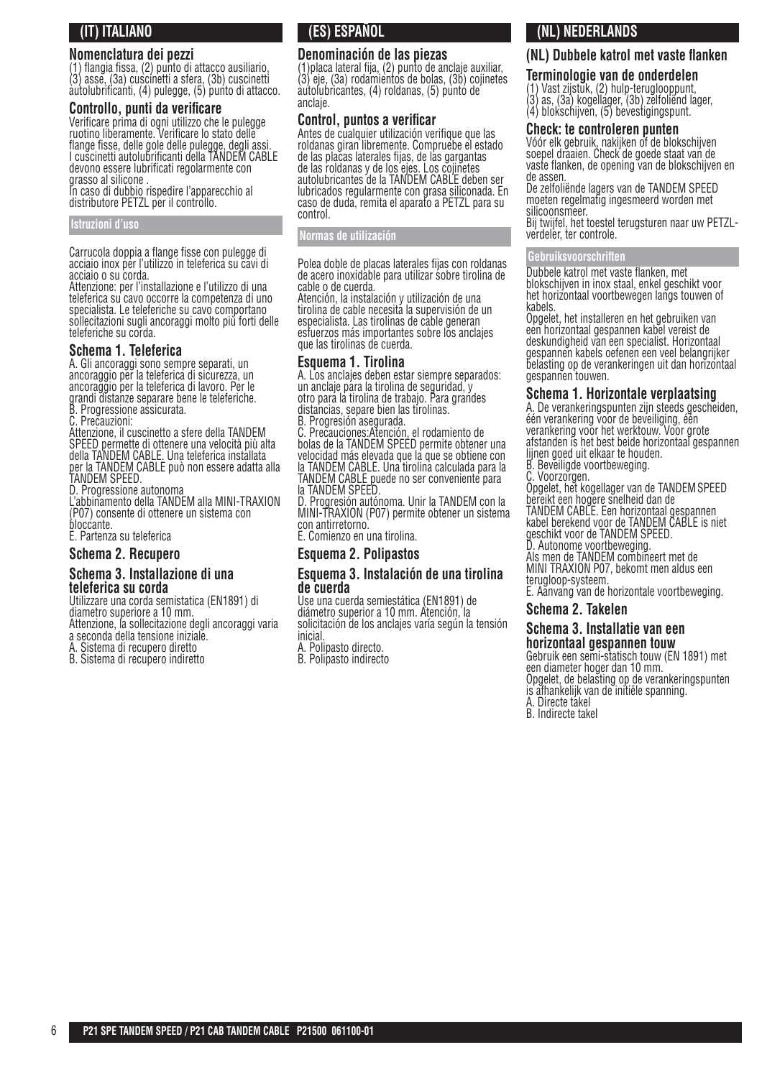## **(IT) ITALIANO**

## **Nomenclatura dei pezzi**

(1) fl angia fi ssa, (2) punto di attacco ausiliario, (3) asse, (3a) cuscinetti a sfera, (3b) cuscinetti autolubrificanti, (4) pulegge, (5) punto di attacco.

#### **Controllo, punti da verificare**

Verifi care prima di ogni utilizzo che le pulegge ruotino liberamente. Verificare lo stato delle flange fisse, delle gole delle pulegge, degli assi. I cuscinetti autolubrificanti della TANDEM CABLE devono essere lubrificati regolarmente con grasso al silicone .

In caso di dubbio rispedire l'apparecchio al distributore PETZL per il controllo.

#### **Istruzioni d'uso**

Carrucola doppia a flange fisse con pulegge di acciaio inox per l'utilizzo in teleferica su cavi di acciaio o su corda.

Attenzione: per l'installazione e l'utilizzo di una teleferica su cavo occorre la competenza di uno specialista. Le teleferiche su cavo comportano sollecitazioni sugli ancoraggi molto più forti delle teleferiche su corda.

## **Schema 1. Teleferica**

A. Gli ancoraggi sono sempre separati, un ancoraggio per la teleferica di sicurezza, un ancoraggio per la teleferica di lavoro. Per le grandi distanze separare bene le teleferiche. B. Progressione assicurata.

C. Precauzioni:

Attenzione, il cuscinetto a sfere della TANDEM SPEED permette di ottenere una velocità più alta della TANDEM CABLE. Una teleferica installata per la TANDEM CABLE può non essere adatta alla TANDEM SPEED.

D. Progressione autonoma

L'abbinamento della TANDEM alla MINI-TRAXION (P07) consente di ottenere un sistema con bloccante.

E. Partenza su teleferica

## **Schema 2. Recupero**

#### **Schema 3. Installazione di una teleferica su corda**

Utilizzare una corda semistatica (EN1891) di diametro superiore a 10 mm. Attenzione, la sollecitazione degli ancoraggi varia a seconda della tensione iniziale.

- A. Sistema di recupero diretto
- B. Sistema di recupero indiretto

## **(ES) ESPAÑOL**

#### **Denominación de las piezas**

(1)placa lateral fija, (2) punto de anclaje auxiliar, (3) eje, (3a) rodamientos de bolas, (3b) cojinetes autolubricantes, (4) roldanas, (5) punto de anclaje.

#### **Control, puntos a verificar**

Antes de cualquier utilización verifique que las roldanas giran libremente. Compruebe el estado de las placas laterales fijas, de las gargantas de las roldanas y de los ejes. Los cojinetes autolubricantes de la TANDEM CABLE deben ser lubricados regularmente con grasa siliconada. En caso de duda, remita el aparato a PETZL para su control.

#### **Normas de utilización**

Polea doble de placas laterales fijas con roldanas de acero inoxidable para utilizar sobre tirolina de cable o de cuerda.

Atención, la instalación y utilización de una tirolina de cable necesita la supervisión de un especialista. Las tirolinas de cable generan esfuerzos más importantes sobre los anclajes que las tirolinas de cuerda.

#### **Esquema 1. Tirolina**

A. Los anclajes deben estar siempre separados: un anclaje para la tirolina de seguridad, y otro para la tirolina de trabajo. Para grandes distancias, separe bien las tirolinas.

B. Progresión asegurada.

C. Precauciones:Atención, el rodamiento de bolas de la TANDEM SPEED permite obtener una velocidad más elevada que la que se obtiene con <u>la TANDEM CAB</u>LE. Una tirolina calculada para la TANDEM CABLE puede no ser conveniente para la TANDEM SPEED.

D. Progresión autónoma. Unir la TANDEM con la MINI-TRAXION (P07) permite obtener un sistema con antirretorno.

E. Comienzo en una tirolina.

#### **Esquema 2. Polipastos**

#### **Esquema 3. Instalación de una tirolina de cuerda**

Use una cuerda semiestática (EN1891) de diámetro superior a 10 mm. Atención, la solicitación de los anclajes varía según la tensión inicial.

A. Polipasto directo.

B. Polipasto indirecto

## **(NL) NEDERLANDS**

## **(NL) Dubbele katrol met vaste flanken**

#### **Terminologie van de onderdelen**

(1) Vast zijstuk, (2) hulp-teruglooppunt, (3) as, (3a) kogellager, (3b) zelfoliënd lager,

#### (4) blokschijven, (5) bevestigingspunt. **Check: te controleren punten**

Vóór elk gebruik, nakijken of de blokschijven soepel draaien. Check de goede staat van de vaste flanken, de opening van de blokschijven en de assen.

De zelfoliënde lagers van de TANDEM SPEED moeten regelmatig ingesmeerd worden met silicoonsmeer.

Bij twijfel, het toestel terugsturen naar uw PETZLverdeler, ter controle.

#### **Gebruiksvoorschriften**

Dubbele katrol met vaste flanken, met blokschijven in inox staal, enkel geschikt voor het horizontaal voortbewegen langs touwen of kabels.

Opgelet, het installeren en het gebruiken van een horizontaal gespannen kabel vereist de deskundigheid van een specialist. Horizontaal gespannen kabels oefenen een veel belangrijker belasting op de verankeringen uit dan horizontaal gespannen touwen.

#### **Schema 1. Horizontale verplaatsing**

A. De verankeringspunten zijn steeds gescheiden, één verankering voor de beveiliging, één verankering voor het werktouw. Voor grote afstanden is het best beide horizontaal gespannen lijnen goed uit elkaar te houden.

B. Beveiligde voortbeweging.

C. Voorzorgen.

Opgelet, het kogellager van de TANDEM SPEED bereikt een hogere snelheid dan de TANDEM CABLE. Een horizontaal gespannen kabel berekend voor de TANDEM CABLE is niet geschikt voor de TANDEM SPEED. D. Autonome voortbeweging.

Als men de TANDEM combineert met de MINI TRAXION P07, bekomt men aldus een terugloop-systeem.

E. Aanvang van de horizontale voortbeweging.

#### **Schema 2. Takelen**

#### **Schema 3. Installatie van een horizontaal gespannen touw**

Gebruik een semi-statisch touw (EN 1891) met een diameter hoger dan 10 mm. Opgelet, de belasting op de verankeringspunten is afhankelijk van de initiële spanning. A. Directe takel

B. Indirecte takel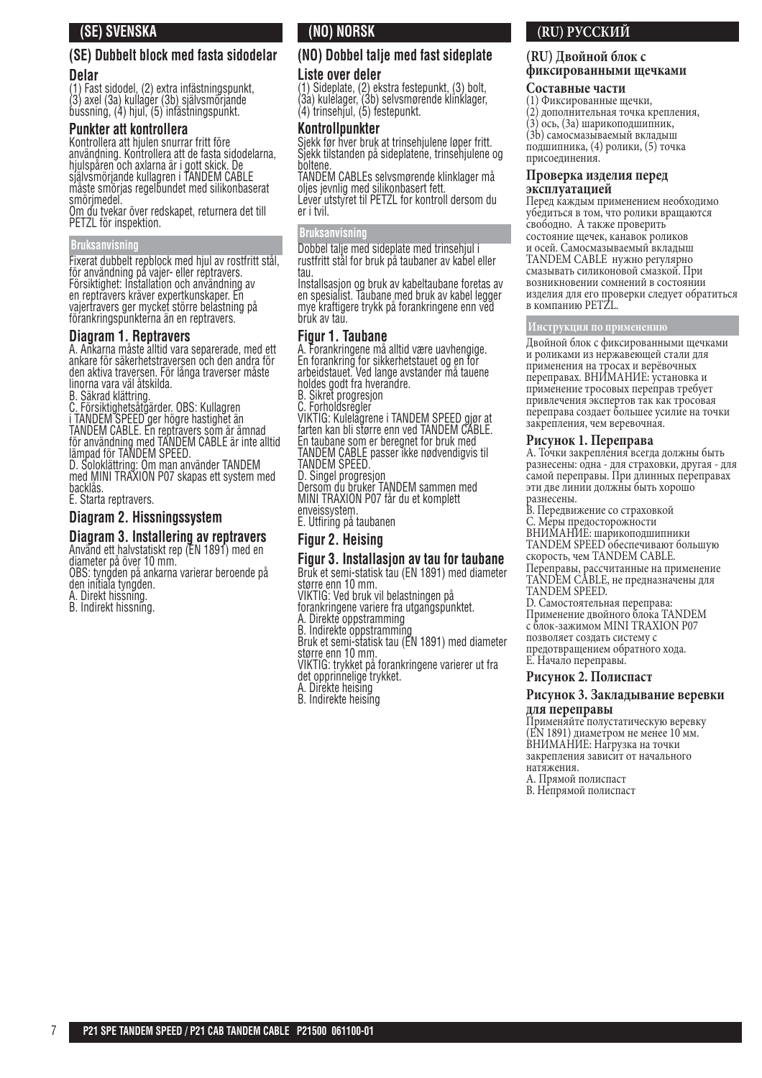## **(SE) SVENSKA**

#### **(SE) Dubbelt block med fasta sidodelar Delar**

(1) Fast sidodel, (2) extra infästningspunkt, (3) axel (3a) kullager (3b) självsmörjande bussning, (4) hjul, (5) infästningspunkt.

#### **Punkter att kontrollera**

Kontrollera att hjulen snurrar fritt före användning. Kontrollera att de fasta sidodelarna, hjulspåren och axlarna är i gott skick. De självsmörjande kullagren i TANDEM CABLE måste smörjas regelbundet med silikonbaserat smörimedel.

Om du tvekar över redskapet, returnera det till PETZL för inspektion.

#### **Bruksanvisning**

Fixerat dubbelt repblock med hjul av rostfritt stål, för användning på vajer- eller reptravers. Försiktighet: Installation och användning av en reptravers kräver expertkunskaper. En vajertravers ger mycket större belastning på förankringspunkterna än en reptravers.

#### **Diagram 1. Reptravers**

A. Ankarna måste alltid vara separerade, med ett ankare för säkerhetstraversen och den andra för den aktiva traversen. För långa traverser måste linorna vara väl åtskilda.

B. Säkrad klättring.

C. Försiktighetsåtgärder. OBS: Kullagren i TANDEM SPEED ger högre hastighet än TANDEM CABLE. En reptravers som är ämnad för användning med TANDEM CABLE är inte alltid lämpad för TANDEM SPEED.

D. Soloklättring: Om man använder TANDEM med MINI TRAXION P07 skapas ett system med backlås.

E. Starta reptravers.

#### **Diagram 2. Hissningssystem**

#### **Diagram 3. Installering av reptravers** Använd ett halvstatiskt rep (EN 1891) med en

diameter på över 10 mm. OBS: tyngden på ankarna varierar beroende på den initiala tyngden.

A. Direkt hissning.

B. Indirekt hissning.

## **(NO) NORSK**

## **(NO) Dobbel talje med fast sideplate**

#### **Liste over deler**

(1) Sideplate, (2) ekstra festepunkt, (3) bolt, (3a) kulelager, (3b) selvsmørende klinklager, (4) trinsehjul, (5) festepunkt.

#### **Kontrollpunkter**

Sjekk før hver bruk at trinsehjulene løper fritt. Sjekk tilstanden på sideplatene, trinsehjulene og boltene.

TANDEM CABLEs selvsmørende klinklager må oljes jevnlig med silikonbasert fett.

Lever utstyret til PETZL for kontroll dersom du er i tvil.

#### **Bruksanvisning**

Dobbel talje med sideplate med trinsehjul i rustfritt stål for bruk på taubaner av kabel eller tau.

Installsasjon og bruk av kabeltaubane foretas av en spesialist. Taubane med bruk av kabel legger mye kraftigere trykk på forankringene enn ved bruk av tau.

#### **Figur 1. Taubane**

A. Forankringene må alltid være uavhengige. En forankring for sikkerhetstauet og en for arbeidstauet. Ved lange avstander må tauene holdes godt fra hverandre.

B. Sikret progresjon

C. Forholdsregler

VIKTIG: Kulelagrene i TANDEM SPEED gjør at farten kan bli større enn ved TANDEM CABLE. En taubane som er beregnet for bruk med

TANDEM CABLE passer ikke nødvendigvis til TANDEM SPEED.

D. Singel progresjon

Dersom du bruker TANDEM sammen med MINI TRAXION P07 får du et komplett enveissystem.

E. Utfiring på taubanen

#### **Figur 2. Heising**

#### **Figur 3. Installasjon av tau for taubane** Bruk et semi-statisk tau (EN 1891) med diameter

større enn 10 mm.

VIKTIG: Ved bruk vil belastningen på

forankringene variere fra utgangspunktet.

A. Direkte oppstramming

B. Indirekte oppstramming

Bruk et semi-statisk tau (EN 1891) med diameter

større enn 10 mm.

VIKTIG: trykket på forankringene varierer ut fra

- det opprinnelige trykket.
- A. Direkte heising B. Indirekte heising

## **(RU) РУССКИЙ**

#### **(RU) Двойной блок с фиксированными щечками**

#### **Составные части**

- (1) Фиксированные щечки,
- (2) дополнительная точка крепления,
- (3) ось, (3a) шарикоподшипник, (3b) самосмазываемый вкладыш

подшипника, (4) ролики, (5) точка присоединения.

## **Проверка изделия перед**

## **эксплуатацией**

Перед каждым применением необходимо убедиться в том, что ролики вращаются свободно. А также проверить состояние щечек, канавок роликов и осей. Самосмазываемый вкладыш TANDEM CABLE нужно регулярно смазывать силиконовой смазкой. При возникновении сомнений в состоянии изделия для его проверки следует обратиться в компанию PETZL.

#### **Инструкция по применению**

Двойной блок с фиксированными щечками и роликами из нержавеющей стали для применения на тросах и верёвочных переправах. ВНИМАНИЕ: установка и применение тросовых переправ требует привлечения экспертов так как тросовая переправа создает большее усилие на точки закрепления, чем веревочная.

#### **Рисунок 1. Переправа**

A. Точки закрепления всегда должны быть разнесены: одна - для страховки, другая - для самой переправы. При длинных переправах эти две линии должны быть хорошо разнесены.

B. Передвижение со страховкой

C. Меры предосторожности

ВНИМАНИЕ: шарикоподшипники

TANDEM SPEED обеспечивают большую скорость, чем TANDEM CABLE.

Переправы, рассчитанные на применение TANDEM CABLE, не предназначены для TANDEM SPEED.

D. Самостоятельная переправа: Применение двойного блока TANDEM с блок-зажимом MINI TRAXION P07 позволяет создать систему с предотвращением обратного хода. E. Начало переправы.

#### **Рисунок 2. Полиспаст**

#### **Рисунок 3. Закладывание веревки для переправы**

Применяйте полустатическую веревку (EN 1891) диаметром не менее 10 мм. ВНИМАНИЕ: Нагрузка на точки закрепления зависит от начального натяжения.

A. Прямой полиспаст B. Непрямой полиспаст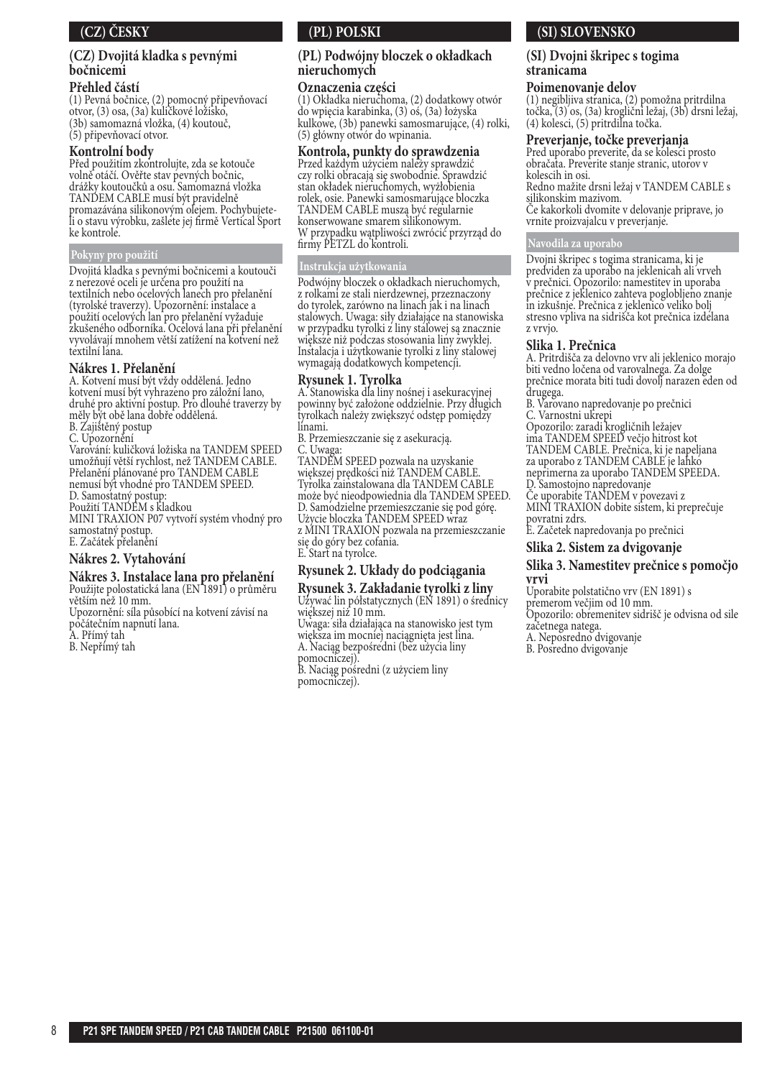## **(CZ) ČESKY**

#### **(CZ) Dvojitá kladka s pevnými bočnicemi**

#### **Přehled částí**

(1) Pevná bočnice, (2) pomocný připevňovací otvor, (3) osa, (3a) kuličkové ložisko, (3b) samomazná vložka, (4) koutouč, (5) připevňovací otvor.

#### **Kontrolní body**

Před použitím zkontrolujte, zda se kotouče volně otáčí. Ověřte stav pevných bočnic, drážky koutoučků a osu. Samomazná vložka TANDEM CABLE musí být pravidelně promazávána silikonovým olejem. Pochybujeteli o stavu výrobku, zašléte jej firmě Vertical Šport<br>ke kontrole.

#### **Pokyny pro použití**

Dvojitá kladka s pevnými bočnicemi a koutouči z nerezové oceli je určena pro použití na textilních nebo ocelových lanech pro přelanění (tyrolské traverzy). Upozornění: instalace a použití ocelových lan pro přelanění vyžaduje zkušeného odborníka. Ocelová lana při přelanění vyvolávají mnohem větší zatížení na kotvení než textilní lana.

#### **Nákres 1. Přelanění**

A. Kotvení musí být vždy oddělená. Jedno kotvení musí být vyhrazeno pro záložní lano, druhé pro aktivní postup. Pro dlouhé traverzy by měly být obě lana dobře oddělená.

B. Zajištěný postup

C. Upozornění

Varování: kuličková ložiska na TANDEM SPEED umožňují větší rychlost, než TANDEM CABLE. Přelanění plánované pro TANDEM CABLE nemusí být vhodné pro TANDEM SPEED.

D. Samostatný postup:

Použití TANDEM s kladkou

MINI TRAXION P07 vytvoří systém vhodný pro samostatný postup.

E. Začátek přelanění

#### **Nákres 2. Vytahování**

#### **Nákres 3. Instalace lana pro přelanění**

Použijte polostatická lana (EN 1891) o průměru větším než 10 mm.

Upozornění: síla působící na kotvení závisí na počátečním napnutí lana.

- A. Přímý tah
- B. Nepřímý tah

## **(PL) POLSKI**

#### **(PL) Podwójny bloczek o okładkach nieruchomych**

#### **Oznaczenia części**

(1) Okładka nieruchoma, (2) dodatkowy otwór do wpięcia karabinka, (3) oś, (3a) łożyska kulkowe, (3b) panewki samosmarujące, (4) rolki, (5) główny otwór do wpinania.

#### **Kontrola, punkty do sprawdzenia**

Przed każdym użyciem należy sprawdzić czy rolki obracają się swobodnie. Sprawdzić stan okładek nieruchomych, wyżłobienia rolek, osie. Panewki samosmarujące bloczka TANDEM CABLE muszą być regularnie konserwowane smarem silikonowym. W przypadku wątpliwości zwrócić przyrząd do firmy PETZL do kontroli.

#### **Instrukcja użytkowania**

Podwójny bloczek o okładkach nieruchomych, z rolkami ze stali nierdzewnej, przeznaczony do tyrolek, zarówno na linach jak i na linach stalowych. Uwaga: siły działające na stanowiska w przypadku tyrolki z liny stalowej są znacznie większe niż podczas stosowania liny zwykłej. Instalacja i użytkowanie tyrolki z liny stalowej wymagają dodatkowych kompetencji.

#### **Rysunek 1. Tyrolka**

A. Stanowiska dla liny nośnej i asekuracyjnej powinny być założone oddzielnie. Przy długich tyrolkach należy zwiększyć odstęp pomiędzy linami.

B. Przemieszczanie się z asekuracją.

C. Uwaga:

TANDEM SPEED pozwala na uzyskanie większej prędkości niż TANDEM CABLE. Tyrolka zainstalowana dla TANDEM CABLE może być nieodpowiednia dla TANDEM SPEED. D. Samodzielne przemieszczanie się pod górę. Użycie bloczka TANDEM SPEED wraz z MINI TRAXION pozwala na przemieszczanie się do góry bez cofania. E. Start na tyrolce.

#### **Rysunek 2. Układy do podciągania**

## **Rysunek 3. Zakładanie tyrolki z liny**

Używać lin półstatycznych (EN 1891) o średnicy większej niż 10 mm. Uwaga: siła działająca na stanowisko jest tym

większa im mocniej naciągnięta jest lina. A. Naciąg bezpośredni (bez użycia liny pomocniczej). B. Naciąg pośredni (z użyciem liny

pomocniczej).

## **(SI) SLOVENSKO**

#### **(SI) Dvojni škripec s togima stranicama**

#### **Poimenovanje delov**

(1) negibljiva stranica, (2) pomožna pritrdilna točka, (3) os, (3a) kroglični ležaj, (3b) drsni ležaj, (4) kolesci, (5) pritrdilna točka.

#### **Preverjanje, točke preverjanja**

Pred uporabo preverite, da se kolesci prosto obračata. Preverite stanje stranic, utorov v kolescih in osi.

Redno mažite drsni ležaj v TANDEM CABLE s silikonskim mazivom.

Če kakorkoli dvomite v delovanje priprave, jo vrnite proizvajalcu v preverjanje.

#### **Navodila za uporabo**

Dvojni škripec s togima stranicama, ki je predviden za uporabo na jeklenicah ali vrveh v prečnici. Opozorilo: namestitev in uporaba prečnice z jeklenico zahteva poglobljeno znanje in izkušnje. Prečnica z jeklenico veliko bolj stresno vpliva na sidrišča kot prečnica izdelana z vrvjo.

#### **Slika 1. Prečnica**

A. Pritrdišča za delovno vrv ali jeklenico morajo biti vedno ločena od varovalnega. Za dolge prečnice morata biti tudi dovolj narazen eden od drugega.

B. Varovano napredovanje po prečnici

C. Varnostni ukrepi

Opozorilo: zaradi krogličnih ležajev ima TANDEM SPEED večjo hitrost kot TANDEM CABLE. Prečnica, ki je napeljana za uporabo z TANDEM CABLE je lahko neprimerna za uporabo TANDEM SPEEDA. D. Samostojno napredovanje

Če uporabite TANDEM v povezavi z MINI TRAXION dobite sistem, ki preprečuje

povratni zdrs.

E. Začetek napredovanja po prečnici

#### **Slika 2. Sistem za dvigovanje**

#### **Slika 3. Namestitev prečnice s pomočjo vrvi**

Uporabite polstatično vrv (EN 1891) s

premerom večjim od 10 mm. Opozorilo: obremenitev sidrišč je odvisna od sile

začetnega natega.

A. Neposredno dvigovanje

B. Posredno dvigovanje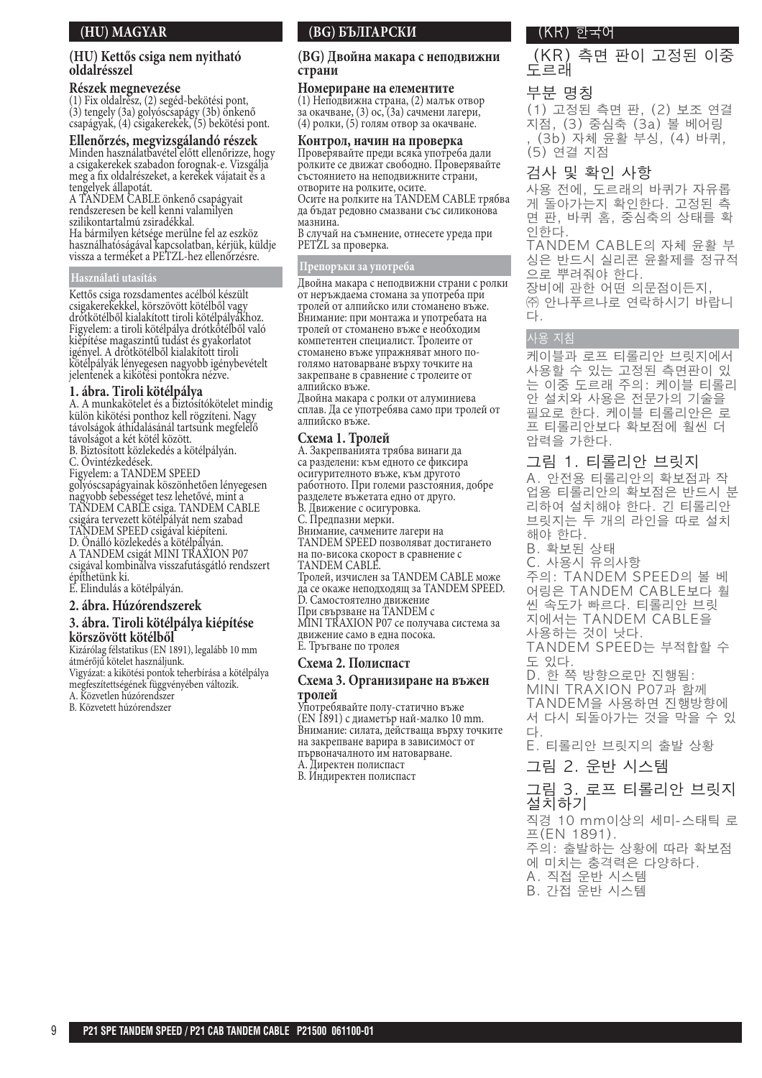## **(HU) MAGYAR**

#### **(HU) Kettős csiga nem nyitható oldalrésszel**

#### **Részek megnevezése**

(1) Fix oldalrész, (2) segéd-bekötési pont, (3) tengely (3a) golyóscsapágy (3b) önkenő csapágyak, (4) csigakerekek, (5) bekötési pont.

**Ellenőrzés, megvizsgálandó részek** Minden használatbavétel előtt ellenőrizze, hogy a csigakerekek szabadon forognak-e. Vizsgálja meg a fix oldalrészeket, a kerekek vájatait és a tengelyek állapotát.

A TANDEM CABLE önkenő csapágyait rendszeresen be kell kenni valamilyen szilikontartalmú zsiradékkal. Ha bármilyen kétsége merülne fel az eszköz használhatóságával kapcsolatban, kérjük, küldje vissza a terméket a PETZL-hez ellenőrzésre.

#### **Használati utasítás**

Kettős csiga rozsdamentes acélból készült csigakerekekkel, körszövött kötélből vagy drótkötélből kialakított tiroli kötélpályákhoz. Figyelem: a tiroli kötélpálya drótkötélből való kiépítése magaszintű tudást és gyakorlatot igényel. A drótkötélből kialakított tiroli kötélpályák lényegesen nagyobb igénybevételt jelentenek a kikötési pontokra nézve.

#### **1. ábra. Tiroli kötélpálya**

A. A munkakötelet és a biztosítókötelet mindig külön kikötési ponthoz kell rögzíteni. Nagy távolságok áthidalásánál tartsunk megfelelő távolságot a két kötél között.

B. Biztosított közlekedés a kötélpályán. C. Óvintézkedések.

Figyelem: a TANDEM SPEED

golyóscsapágyainak köszönhetően lényegesen nagyobb sebességet tesz lehetővé, mint a TANDEM CABLE csiga. TANDEM CABLE csigára tervezett kötélpályát nem szabad TANDEM SPEED csigával kiépíteni. D. Önálló közlekedés a kötélpályán. A TANDEM csigát MINI TRAXION P07

csigával kombinálva visszafutásgátló rendszert építhetünk ki. E. Elindulás a kötélpályán.

#### **2. ábra. Húzórendszerek**

## **3. ábra. Tiroli kötélpálya kiépítése körszövött kötélből**

Kizárólag félstatikus (EN 1891), legalább 10 mm átmérőjű kötelet használjunk.

Vigyázat: a kikötési pontok teherbírása a kötélpálya megfeszítettségének függvényében változik.

- A. Közvetlen húzórendszer
- B. Közvetett húzórendszer

## **(BG) БЪЛГАРСКИ**

#### **(BG) Двойна макара с неподвижни страни**

#### **Номериране на елементите**

(1) Неподвижна страна, (2) малък отвор за окачване, (3) ос, (3а) сачмени лагери, (4) ролки, (5) голям отвор за окачване.

#### **Контрол, начин на проверка**

Проверявайте преди всяка употреба дали ролките се движат свободно. Проверявайте състоянието на неподвижните страни, отворите на ролките, осите.

Осите на ролките на TANDEM CABLE трябва да бъдат редовно смазвани със силиконова мазнина.

В случай на съмнение, отнесете уреда при PETZL за проверка.

#### **Препоръки за употреба**

Двойна макара с неподвижни страни с ролки от неръждаема стомана за употреба при тролей от алпийско или стоманено въже. Внимание: при монтажа и употребата на тролей от стоманено въже е необходим компетентен специалист. Тролеите от стоманено въже упражняват много поголямо натоварване върху точките на закрепване в сравнение с тролеите от алпийско въже.

Двойна макара с ролки от алуминиева сплав. Да се употребява само при тролей от алпийско въже.

#### **Схема 1. Тролей**

A. Закрепванията трябва винаги да са разделени: към едното се фиксира осигурителното въже, към другото

работното. При големи разстояния, добре разделете въжетата едно от друго.

B. Движение с осигуровка.

C. Предпазни мерки.

Внимание, сачмените лагери на

TANDEM SPEED позволяват достигането на по-висока скорост в сравнение с

TANDEM CABLE.

Тролей, изчислен за TANDEM CABLE може да се окаже неподходящ за TANDEM SPEED.

D. Самостоятелно движение При свързване на TANDEM с

MINI TRAXION P07 се получава система за

движение само в една посока. E. Тръгване по тролея

#### **Схема 2. Полиспаст**

#### **Схема 3. Организиране на въжен тролей**

Употребявайте полу-статично въже (EN 1891) с диаметър най-малко 10 mm. Внимание: силата, действаща върху точките на закрепване варира в зависимост от първоначалното им натоварване. A. Директен полиспаст

B. Индиректен полиспаст

### (KR) 한국어

(KR) 측면 판이 고정된 이중 도르래

## 부분 명칭

(1) 고정된 측면 판, (2) 보조 연결 .<br>지점, (3) 중심축 (3a) 볼 베어링 (3b) 자체 윤활 부싱, (4) 바퀴, (5) 연결 지점

## 검사 및 확인 사항

사용 전에, 도르래의 바퀴가 자유롭 게 돌아가는지 확인한다. 고정된 측 면 판, 바퀴 홈, 중심축의 상태를 확 한화다.

TANDEM CABLE의 자체 윤활 부 싱은 반드시 실리콘 윤활제를 정규적 으로 뿌려줘야 한다.

장비에 관한 어떤 의문점이든지, ㈜ 아나푸르나로 여락하시기 바랍니 다.

## 사용 지침

케이블과 로프 티롤리안 브릿지에서 사용할 수 있는 고정된 측면판이 있 는 이중 도르래 주의: 케이블 티롤리 안 설치와 사용은 전문가의 기술을 필요로 한다. 케이블 티롤리안은 로 프 티롤리안보다 확보점에 훨씬 더 압력을 가한다.

## 그림 1. 티롤리안 브릿지

A. 아저용 티롤리아의 확보적과 작 업용 티롤리안의 확보점은 반드시 분 리하여 설치해야 한다. 긴 티롤리안 브릿지는 두 개의 라인을 따로 설치 해야 한다.

- B. 확보된 상태
- $C.$  사용시 유의사항 주의: TANDEM SPEED의 볼 베 어링은 TANDEM CABLE보다 훨

씬 속도가 빠르다. 티롤리안 브릿 지에서는 TANDEM CABLE을

사용하는 것이 낫다. TANDEM SPEED는 부적합할 수 도 있다.

D. 한 쪽 방향으로만 진행됨: MINI TRAXION P07과 함께 TANDEM을 사용하면 진행방향에 서 다시 되돌아가는 것을 막을 수 있 다.

E. 티롤리안 브릿지의 출발 상황

그림 2. 운반 시스템

## 그림 3. 로프 티롤리안 브릿지 철치하기

직경 10 mm이상의 세미-스태틱 로  $E(EN 1891)$ . 주의: 출발하는 상황에 따라 확보점

에 미치는 충격력은 다양하다.

A. 직접 운반 시스템 B. 간접 운반 시스템